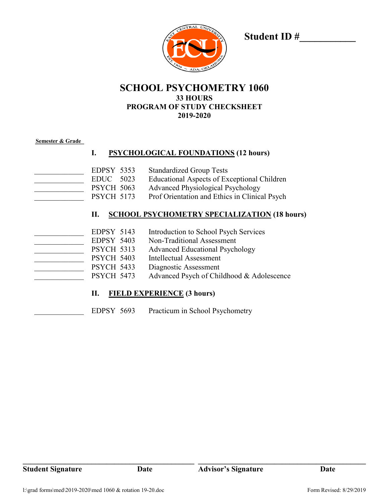

**Student ID #\_\_\_\_\_\_\_\_\_\_\_**

## **SCHOOL PSYCHOMETRY 1060 33 HOURS PROGRAM OF STUDY CHECKSHEET 2019-2020**

#### **Semester & Grade**

### **I. PSYCHOLOGICAL FOUNDATIONS (12 hours)**

EDPSY 5353 Standardized Group Tests EDUC 5023 Educational Aspects of Exceptional Children PSYCH 5063 Advanced Physiological Psychology PSYCH 5173 Prof Orientation and Ethics in Clinical Psych

#### **II. SCHOOL PSYCHOMETRY SPECIALIZATION (18 hours)**

| EDPSY 5143        | Introduction to School Psych Services     |
|-------------------|-------------------------------------------|
| EDPSY 5403        | Non-Traditional Assessment                |
| <b>PSYCH 5313</b> | <b>Advanced Educational Psychology</b>    |
| <b>PSYCH 5403</b> | Intellectual Assessment                   |
| <b>PSYCH 5433</b> | Diagnostic Assessment                     |
| <b>PSYCH 5473</b> | Advanced Psych of Childhood & Adolescence |

### **II. FIELD EXPERIENCE (3 hours)**

EDPSY 5693 Practicum in School Psychometry

**\_\_\_\_\_\_\_\_\_\_\_\_\_\_\_\_\_\_\_\_\_\_\_\_\_\_\_\_\_\_\_\_\_\_\_\_\_\_\_\_\_\_\_\_\_ \_\_\_\_\_\_\_\_\_\_\_\_\_\_\_\_\_\_\_\_\_\_\_\_\_\_\_\_\_\_\_\_\_\_\_\_\_\_\_\_\_\_\_\_**